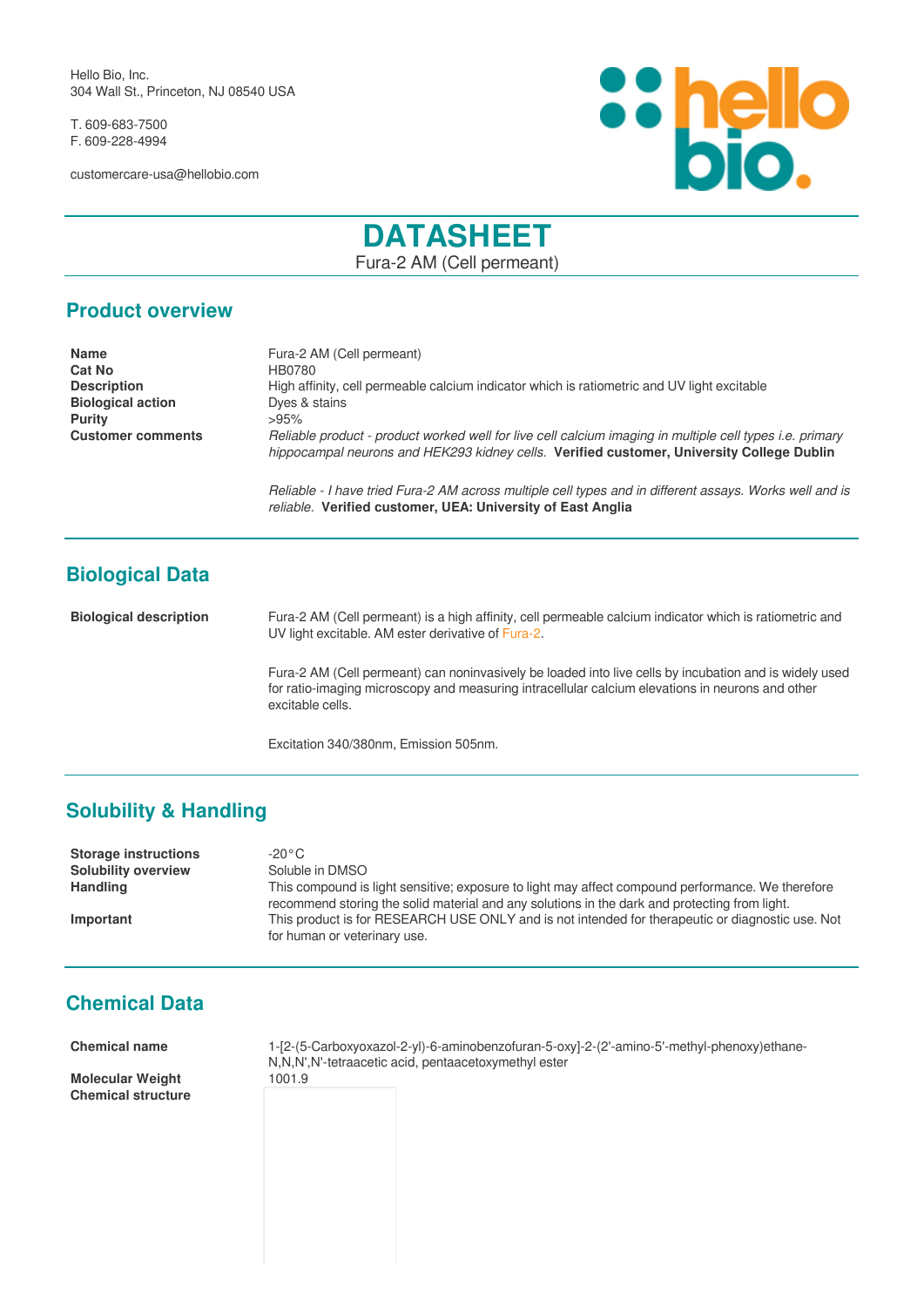Hello Bio, Inc. 304 Wall St., Princeton, NJ 08540 USA

T. 609-683-7500 F. 609-228-4994

customercare-usa@hellobio.com



# **DATASHEET**

Fura-2 AM (Cell permeant)

### **Product overview**

| <b>Name</b>              | Fura-2 AM (Cell permeant)                                                                                                                                                                                    |
|--------------------------|--------------------------------------------------------------------------------------------------------------------------------------------------------------------------------------------------------------|
| <b>Cat No</b>            | HB0780                                                                                                                                                                                                       |
| <b>Description</b>       | High affinity, cell permeable calcium indicator which is ratiometric and UV light excitable                                                                                                                  |
| <b>Biological action</b> | Dyes & stains                                                                                                                                                                                                |
| <b>Purity</b>            | >95%                                                                                                                                                                                                         |
| <b>Customer comments</b> | Reliable product - product worked well for live cell calcium imaging in multiple cell types <i>i.e.</i> primary<br>hippocampal neurons and HEK293 kidney cells. Verified customer, University College Dublin |
|                          | Reliable - I have tried Fura-2 AM across multiple cell types and in different assays. Works well and is                                                                                                      |

*reliable.* **Verified customer, UEA: University of East Anglia**

**Biological Data**

**Biological description** Fura-2 AM (Cell permeant) is a high affinity, cell permeable calcium indicator which is ratiometric and UV light excitable. AM ester derivative of [Fura-2](https://hellobio.com/fura-2.html).

> Fura-2 AM (Cell permeant) can noninvasively be loaded into live cells by incubation and is widely used for ratio-imaging microscopy and measuring intracellular calcium elevations in neurons and other excitable cells.

Excitation 340/380nm, Emission 505nm.

# **Solubility & Handling**

**Storage instructions** -20°C **Solubility overview** Soluble in DMSO

**Handling** This compound is light sensitive; exposure to light may affect compound performance. We therefore recommend storing the solid material and any solutions in the dark and protecting from light. **Important** This product is for RESEARCH USE ONLY and is not intended for therapeutic or diagnostic use. Not for human or veterinary use.

# **Chemical Data**

**Molecular Weight** 1001.9 **Chemical structure**

**Chemical name** 1-[2-(5-Carboxyoxazol-2-yl)-6-aminobenzofuran-5-oxy]-2-(2'-amino-5'-methyl-phenoxy)ethane-N,N,N',N'-tetraacetic acid, pentaacetoxymethyl ester